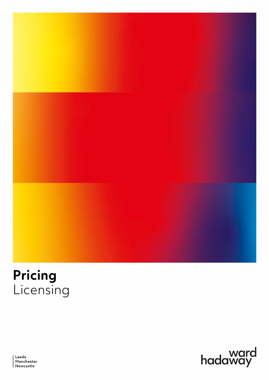



Leeds Manchester<br>Newcastle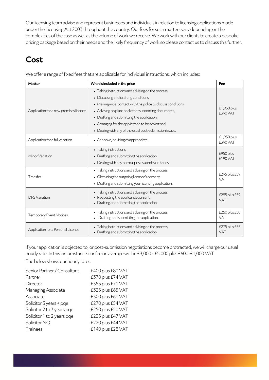Our licensing team advise and represent businesses and individuals in relation to licensing applications made under the Licensing Act 2003 throughout the country. Our fees for such matters vary depending on the complexities of the case as well as the volume of work we receive. We work with our clients to create a bespoke pricing package based on their needs and the likely frequency of work so please contact us to discuss this further.

## **Cost**

We offer a range of fixed fees that are applicable for individual instructions, which includes:

| <b>Matter</b>                          | What is included in the price                                                                                                                               | Fee                           |  |
|----------------------------------------|-------------------------------------------------------------------------------------------------------------------------------------------------------------|-------------------------------|--|
| Application for a new premises licence | • Taking instructions and advising on the process,<br>• Discussing and drafting conditions,                                                                 |                               |  |
|                                        | • Making initial contact with the police to discuss conditions,                                                                                             |                               |  |
|                                        | • Advising on plans and other supporting documents,                                                                                                         | £1,950 plus<br><b>f390VAT</b> |  |
|                                        | • Drafting and submitting the application,                                                                                                                  |                               |  |
|                                        | • Arranging for the application to be advertised,                                                                                                           |                               |  |
|                                        | • Dealing with any of the usual post-submission issues.                                                                                                     |                               |  |
| Application for a full variation       | • As above, advising as appropriate.                                                                                                                        | £1,950 plus<br>£390 VAT       |  |
| Minor Variation                        | • Taking instructions,<br>• Drafting and submitting the application,<br>• Dealing with any normal post-submission issues.                                   | £950 plus<br>£190 VAT         |  |
| Transfer                               | • Taking instructions and advising on the process,<br>• Obtaining the outgoing licensee's consent,<br>• Drafting and submitting your licensing application. | £295 plus £59<br>VAT          |  |
| <b>DPS</b> Variation                   | • Taking instructions and advising on the process,<br>• Requesting the applicant's consent,<br>• Drafting and submitting the application.                   |                               |  |
| <b>Temporary Event Notices</b>         | Taking instructions and advising on the process,<br>Drafting and submitting the application.                                                                | £250 plus £50<br>VAT          |  |
| Application for a Personal Licence     | • Taking instructions and advising on the process,<br>• Drafting and submitting the application.                                                            |                               |  |

If your application is objected to, or post-submission negotiations become protracted, we will charge our usual hourly rate. In this circumstance our fee on average will be £3,000 - £5,000 plus £600-£1,000 VAT

The below shows our hourly rates:

| Senior Partner / Consultant | £400 plus £80 VAT |
|-----------------------------|-------------------|
| Partner                     | £370 plus £74 VAT |
| Director                    | £355 plus £71 VAT |
| Managing Associate          | £325 plus £65 VAT |
| Associate                   | £300 plus £60 VAT |
| Solicitor 3 years + pge     | £270 plus £54 VAT |
| Solicitor 2 to 3 years pge  | £250 plus £50 VAT |
| Solicitor 1 to 2 years pge  | £235 plus £47 VAT |
| Solicitor NQ                | £220 plus £44 VAT |
| <b>Trainees</b>             | £140 plus £28 VAT |